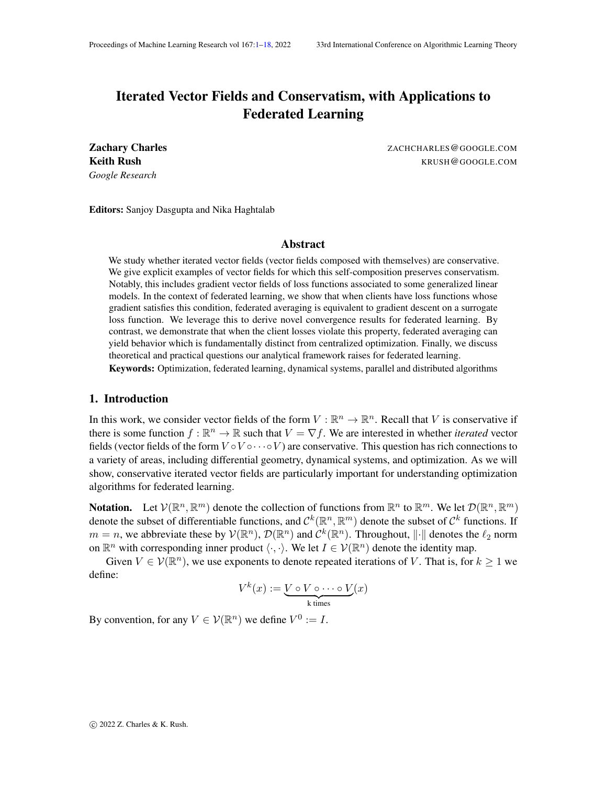# <span id="page-0-0"></span>Iterated Vector Fields and Conservatism, with Applications to Federated Learning

*Google Research*

Zachary Charles ZACHCHARLES@GOOGLE.COM **Keith Rush KRUSH@GOOGLE.COM** 

Editors: Sanjoy Dasgupta and Nika Haghtalab

# Abstract

We study whether iterated vector fields (vector fields composed with themselves) are conservative. We give explicit examples of vector fields for which this self-composition preserves conservatism. Notably, this includes gradient vector fields of loss functions associated to some generalized linear models. In the context of federated learning, we show that when clients have loss functions whose gradient satisfies this condition, federated averaging is equivalent to gradient descent on a surrogate loss function. We leverage this to derive novel convergence results for federated learning. By contrast, we demonstrate that when the client losses violate this property, federated averaging can yield behavior which is fundamentally distinct from centralized optimization. Finally, we discuss theoretical and practical questions our analytical framework raises for federated learning.

Keywords: Optimization, federated learning, dynamical systems, parallel and distributed algorithms

# 1. Introduction

In this work, we consider vector fields of the form  $V : \mathbb{R}^n \to \mathbb{R}^n$ . Recall that V is conservative if there is some function  $f : \mathbb{R}^n \to \mathbb{R}$  such that  $V = \nabla f$ . We are interested in whether *iterated* vector fields (vector fields of the form  $V \circ V \circ \cdots \circ V$ ) are conservative. This question has rich connections to a variety of areas, including differential geometry, dynamical systems, and optimization. As we will show, conservative iterated vector fields are particularly important for understanding optimization algorithms for federated learning.

**Notation.** Let  $V(\mathbb{R}^n, \mathbb{R}^m)$  denote the collection of functions from  $\mathbb{R}^n$  to  $\mathbb{R}^m$ . We let  $\mathcal{D}(\mathbb{R}^n, \mathbb{R}^m)$ denote the subset of differentiable functions, and  $\mathcal{C}^k(\mathbb{R}^n,\mathbb{R}^m)$  denote the subset of  $\mathcal{C}^k$  functions. If  $m = n$ , we abbreviate these by  $V(\mathbb{R}^n)$ ,  $\mathcal{D}(\mathbb{R}^n)$  and  $C^k(\mathbb{R}^n)$ . Throughout,  $\|\cdot\|$  denotes the  $\ell_2$  norm on  $\mathbb{R}^n$  with corresponding inner product  $\langle \cdot, \cdot \rangle$ . We let  $I \in \mathcal{V}(\mathbb{R}^n)$  denote the identity map.

Given  $V \in \mathcal{V}(\mathbb{R}^n)$ , we use exponents to denote repeated iterations of V. That is, for  $k \geq 1$  we define:

$$
V^k(x) := \underbrace{V \circ V \circ \cdots \circ V}_{k \text{ times}}(x)
$$

By convention, for any  $V \in \mathcal{V}(\mathbb{R}^n)$  we define  $V^0 := I$ .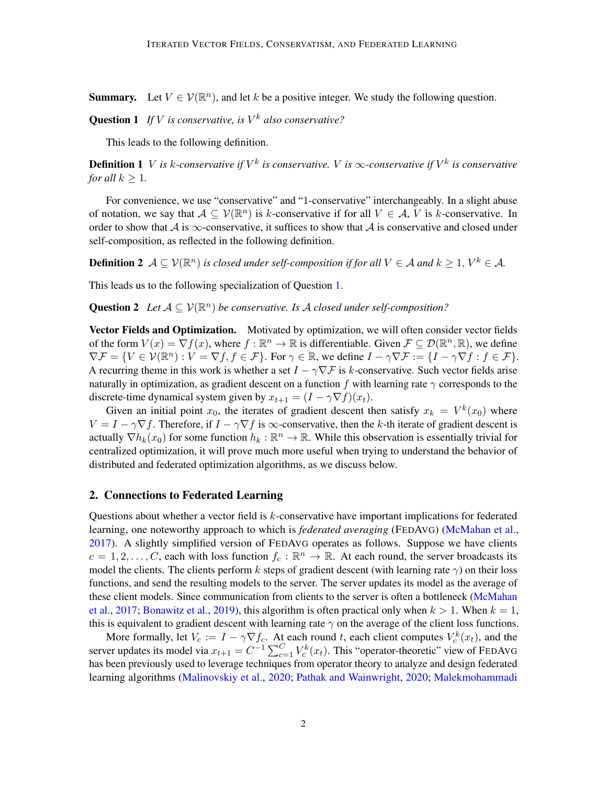**Summary.** Let  $V \in \mathcal{V}(\mathbb{R}^n)$ , and let k be a positive integer. We study the following question.

Question 1 *If* V *is conservative, is* V <sup>k</sup> *also conservative?*

<span id="page-1-0"></span>This leads to the following definition.

**Definition 1** V is k-conservative if  $V^k$  is conservative. V is  $\infty$ -conservative if  $V^k$  is conservative *for all*  $k > 1$ *.* 

For convenience, we use "conservative" and "1-conservative" interchangeably. In a slight abuse of notation, we say that  $A \subseteq V(\mathbb{R}^n)$  is k-conservative if for all  $V \in A$ , V is k-conservative. In order to show that A is  $\infty$ -conservative, it suffices to show that A is conservative and closed under self-composition, as reflected in the following definition.

**Definition 2**  $\mathcal{A} \subseteq \mathcal{V}(\mathbb{R}^n)$  is closed under self-composition if for all  $V \in \mathcal{A}$  and  $k \geq 1, V^k \in \mathcal{A}$ .

This leads us to the following specialization of Question [1.](#page-1-0)

**Question 2** Let  $A \subseteq V(\mathbb{R}^n)$  be conservative. Is A closed under self-composition?

Vector Fields and Optimization. Motivated by optimization, we will often consider vector fields of the form  $V(x) = \nabla f(x)$ , where  $f : \mathbb{R}^n \to \mathbb{R}$  is differentiable. Given  $\mathcal{F} \subseteq \mathcal{D}(\mathbb{R}^n, \mathbb{R})$ , we define  $\nabla \mathcal{F} = \{ V \in \mathcal{V}(\mathbb{R}^n) : V = \nabla f, f \in \mathcal{F} \}.$  For  $\gamma \in \mathbb{R}$ , we define  $I - \gamma \nabla \mathcal{F} := \{ I - \gamma \nabla f : f \in \mathcal{F} \}.$ A recurring theme in this work is whether a set  $I - \gamma \nabla \mathcal{F}$  is k-conservative. Such vector fields arise naturally in optimization, as gradient descent on a function f with learning rate  $\gamma$  corresponds to the discrete-time dynamical system given by  $x_{t+1} = (I - \gamma \nabla f)(x_t)$ .

Given an initial point  $x_0$ , the iterates of gradient descent then satisfy  $x_k = V^k(x_0)$  where  $V = I - \gamma \nabla f$ . Therefore, if  $I - \gamma \nabla f$  is  $\infty$ -conservative, then the k-th iterate of gradient descent is actually  $\nabla h_k(x_0)$  for some function  $h_k : \mathbb{R}^n \to \mathbb{R}$ . While this observation is essentially trivial for centralized optimization, it will prove much more useful when trying to understand the behavior of distributed and federated optimization algorithms, as we discuss below.

# <span id="page-1-1"></span>2. Connections to Federated Learning

Questions about whether a vector field is k-conservative have important implications for federated learning, one noteworthy approach to which is *federated averaging* (FEDAVG) [\(McMahan et al.,](#page-12-0) [2017\)](#page-12-0). A slightly simplified version of FEDAVG operates as follows. Suppose we have clients  $c = 1, 2, \ldots, C$ , each with loss function  $f_c : \mathbb{R}^n \to \mathbb{R}$ . At each round, the server broadcasts its model the clients. The clients perform k steps of gradient descent (with learning rate  $\gamma$ ) on their loss functions, and send the resulting models to the server. The server updates its model as the average of these client models. Since communication from clients to the server is often a bottleneck [\(McMahan](#page-12-0) [et al.,](#page-12-0) [2017;](#page-12-0) [Bonawitz et al.,](#page-12-1) [2019\)](#page-12-1), this algorithm is often practical only when  $k > 1$ . When  $k = 1$ , this is equivalent to gradient descent with learning rate  $\gamma$  on the average of the client loss functions.

More formally, let  $V_c := I - \gamma \nabla f_c$ . At each round t, each client computes  $V_c^k(x_t)$ , and the server updates its model via  $x_{t+1} = C^{-1} \sum_{c=1}^{C} V_c^k(x_t)$ . This "operator-theoretic" view of FEDAVG has been previously used to leverage techniques from operator theory to analyze and design federated learning algorithms [\(Malinovskiy et al.,](#page-12-2) [2020;](#page-12-2) [Pathak and Wainwright,](#page-12-3) [2020;](#page-12-3) [Malekmohammadi](#page-12-4)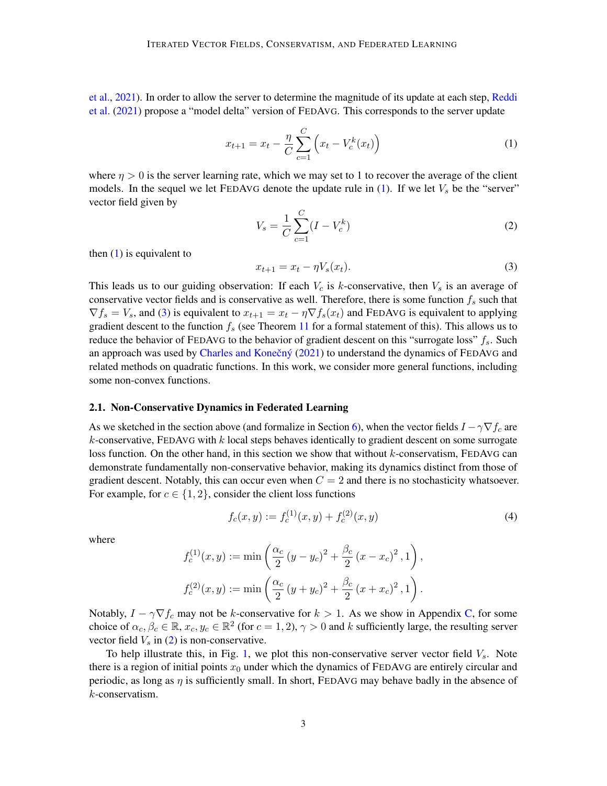[et al.,](#page-12-4) [2021\)](#page-12-4). In order to allow the server to determine the magnitude of its update at each step, [Reddi](#page-13-0) [et al.](#page-13-0) [\(2021\)](#page-13-0) propose a "model delta" version of FEDAVG. This corresponds to the server update

<span id="page-2-0"></span>
$$
x_{t+1} = x_t - \frac{\eta}{C} \sum_{c=1}^{C} \left( x_t - V_c^k(x_t) \right)
$$
 (1)

where  $\eta > 0$  is the server learning rate, which we may set to 1 to recover the average of the client models. In the sequel we let FEDAVG denote the update rule in  $(1)$ . If we let  $V_s$  be the "server" vector field given by

<span id="page-2-2"></span>
$$
V_s = \frac{1}{C} \sum_{c=1}^{C} (I - V_c^k)
$$
 (2)

then  $(1)$  is equivalent to

<span id="page-2-1"></span>
$$
x_{t+1} = x_t - \eta V_s(x_t).
$$
 (3)

This leads us to our guiding observation: If each  $V_c$  is k-conservative, then  $V_s$  is an average of conservative vector fields and is conservative as well. Therefore, there is some function  $f_s$  such that  $\nabla f_s = V_s$ , and [\(3\)](#page-2-1) is equivalent to  $x_{t+1} = x_t - \eta \nabla f_s(x_t)$  and FEDAVG is equivalent to applying gradient descent to the function  $f_s$  (see Theorem [11](#page-9-0) for a formal statement of this). This allows us to reduce the behavior of FEDAVG to the behavior of gradient descent on this "surrogate loss"  $f_s$ . Such an approach was used by Charles and Konečný  $(2021)$  to understand the dynamics of FEDAVG and related methods on quadratic functions. In this work, we consider more general functions, including some non-convex functions.

#### <span id="page-2-4"></span>2.1. Non-Conservative Dynamics in Federated Learning

As we sketched in the section above (and formalize in Section [6\)](#page-9-1), when the vector fields  $I - \gamma \nabla f_c$  are  $k$ -conservative, FEDAVG with  $k$  local steps behaves identically to gradient descent on some surrogate loss function. On the other hand, in this section we show that without  $k$ -conservatism, FEDAVG can demonstrate fundamentally non-conservative behavior, making its dynamics distinct from those of gradient descent. Notably, this can occur even when  $C = 2$  and there is no stochasticity whatsoever. For example, for  $c \in \{1, 2\}$ , consider the client loss functions

<span id="page-2-3"></span>
$$
f_c(x,y) := f_c^{(1)}(x,y) + f_c^{(2)}(x,y)
$$
\n(4)

where

$$
f_c^{(1)}(x,y) := \min\left(\frac{\alpha_c}{2}(y-y_c)^2 + \frac{\beta_c}{2}(x-x_c)^2, 1\right),
$$
  

$$
f_c^{(2)}(x,y) := \min\left(\frac{\alpha_c}{2}(y+y_c)^2 + \frac{\beta_c}{2}(x+x_c)^2, 1\right).
$$

Notably,  $I - \gamma \nabla f_c$  may not be k-conservative for  $k > 1$ . As we show in Appendix [C,](#page-16-0) for some choice of  $\alpha_c, \beta_c \in \mathbb{R}$ ,  $x_c, y_c \in \mathbb{R}^2$  (for  $c = 1, 2$ ),  $\gamma > 0$  and k sufficiently large, the resulting server vector field  $V_s$  in [\(2\)](#page-2-2) is non-conservative.

To help illustrate this, in Fig. [1,](#page-3-0) we plot this non-conservative server vector field  $V_s$ . Note there is a region of initial points  $x_0$  under which the dynamics of FEDAVG are entirely circular and periodic, as long as  $\eta$  is sufficiently small. In short, FEDAVG may behave badly in the absence of k-conservatism.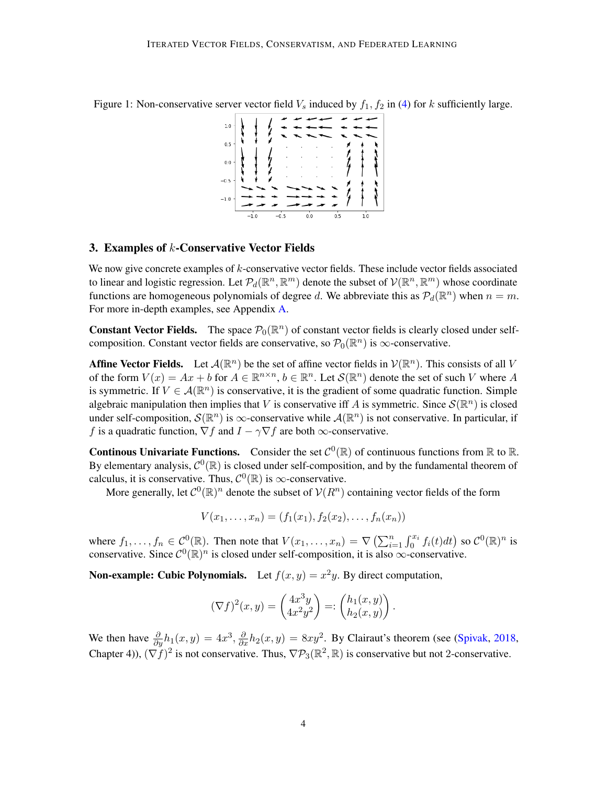<span id="page-3-0"></span>



# <span id="page-3-1"></span>3. Examples of k-Conservative Vector Fields

We now give concrete examples of  $k$ -conservative vector fields. These include vector fields associated to linear and logistic regression. Let  $\mathcal{P}_d(\mathbb{R}^n, \mathbb{R}^m)$  denote the subset of  $\mathcal{V}(\mathbb{R}^n, \mathbb{R}^m)$  whose coordinate functions are homogeneous polynomials of degree d. We abbreviate this as  $\mathcal{P}_d(\mathbb{R}^n)$  when  $n = m$ . For more in-depth examples, see Appendix [A.](#page-13-1)

**Constant Vector Fields.** The space  $\mathcal{P}_0(\mathbb{R}^n)$  of constant vector fields is clearly closed under selfcomposition. Constant vector fields are conservative, so  $\mathcal{P}_0(\mathbb{R}^n)$  is  $\infty$ -conservative.

**Affine Vector Fields.** Let  $\mathcal{A}(\mathbb{R}^n)$  be the set of affine vector fields in  $\mathcal{V}(\mathbb{R}^n)$ . This consists of all V of the form  $V(x) = Ax + b$  for  $A \in \mathbb{R}^{n \times n}$ ,  $b \in \mathbb{R}^n$ . Let  $\mathcal{S}(\mathbb{R}^n)$  denote the set of such V where A is symmetric. If  $V \in \mathcal{A}(\mathbb{R}^n)$  is conservative, it is the gradient of some quadratic function. Simple algebraic manipulation then implies that V is conservative iff A is symmetric. Since  $\mathcal{S}(\mathbb{R}^n)$  is closed under self-composition,  $\mathcal{S}(\mathbb{R}^n)$  is  $\infty$ -conservative while  $\mathcal{A}(\mathbb{R}^n)$  is not conservative. In particular, if f is a quadratic function,  $\nabla f$  and  $I - \gamma \nabla f$  are both  $\infty$ -conservative.

**Continous Univariate Functions.** Consider the set  $C^0(\mathbb{R})$  of continuous functions from  $\mathbb{R}$  to  $\mathbb{R}$ . By elementary analysis,  $C^0(\mathbb{R})$  is closed under self-composition, and by the fundamental theorem of calculus, it is conservative. Thus,  $\mathcal{C}^0(\mathbb{R})$  is  $\infty$ -conservative.

More generally, let  $C^0(\mathbb{R})^n$  denote the subset of  $\mathcal{V}(R^n)$  containing vector fields of the form

$$
V(x_1,...,x_n) = (f_1(x_1), f_2(x_2),..., f_n(x_n))
$$

where  $f_1, \ldots, f_n \in C^0(\mathbb{R})$ . Then note that  $V(x_1, \ldots, x_n) = \nabla \left( \sum_{i=1}^n \int_0^{x_i} f_i(t) dt \right)$  so  $C^0(\mathbb{R})^n$  is conservative. Since  $\mathcal{C}^0(\mathbb{R})^n$  is closed under self-composition, it is also  $\infty$ -conservative.

**Non-example: Cubic Polynomials.** Let  $f(x, y) = x^2y$ . By direct computation,

$$
(\nabla f)^2(x,y) = \begin{pmatrix} 4x^3y \\ 4x^2y^2 \end{pmatrix} =: \begin{pmatrix} h_1(x,y) \\ h_2(x,y) \end{pmatrix}.
$$

We then have  $\frac{\partial}{\partial y}h_1(x,y) = 4x^3$ ,  $\frac{\partial}{\partial x}h_2(x,y) = 8xy^2$ . By Clairaut's theorem (see [\(Spivak,](#page-13-2) [2018,](#page-13-2) Chapter 4)),  $(\nabla \tilde{f})^2$  is not conservative. Thus,  $\nabla P_3(\mathbb{R}^2, \mathbb{R})$  is conservative but not 2-conservative.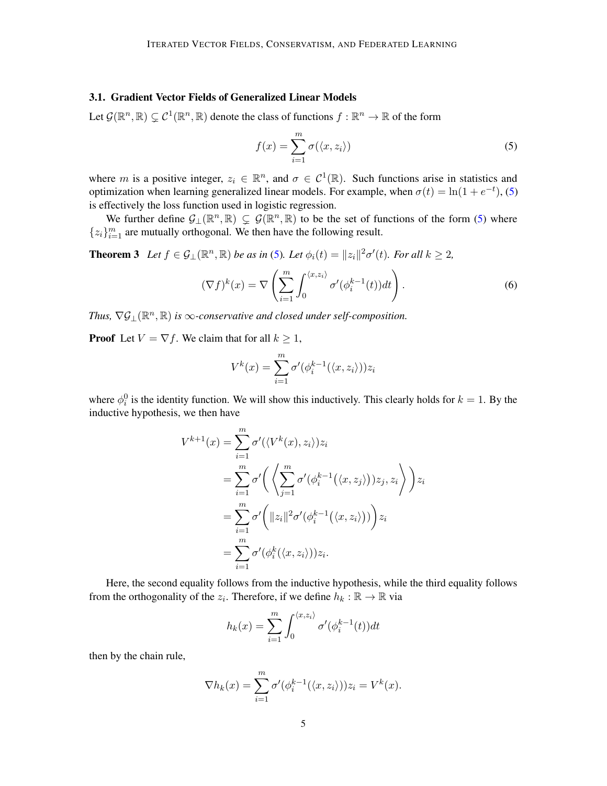## <span id="page-4-2"></span>3.1. Gradient Vector Fields of Generalized Linear Models

Let  $\mathcal{G}(\mathbb{R}^n, \mathbb{R}) \subsetneq \mathcal{C}^1(\mathbb{R}^n, \mathbb{R})$  denote the class of functions  $f : \mathbb{R}^n \to \mathbb{R}$  of the form

<span id="page-4-0"></span>
$$
f(x) = \sum_{i=1}^{m} \sigma(\langle x, z_i \rangle)
$$
 (5)

where m is a positive integer,  $z_i \in \mathbb{R}^n$ , and  $\sigma \in C^1(\mathbb{R})$ . Such functions arise in statistics and optimization when learning generalized linear models. For example, when  $\sigma(t) = \ln(1 + e^{-t})$ , [\(5\)](#page-4-0) is effectively the loss function used in logistic regression.

We further define  $G_{\perp}(\mathbb{R}^n, \mathbb{R}) \subsetneq \mathcal{G}(\mathbb{R}^n, \mathbb{R})$  to be the set of functions of the form [\(5\)](#page-4-0) where  ${z_i}_{i=1}^m$  are mutually orthogonal. We then have the following result.

<span id="page-4-1"></span>**Theorem 3** Let  $f \in \mathcal{G}_\perp(\mathbb{R}^n, \mathbb{R})$  be as in [\(5\)](#page-4-0). Let  $\phi_i(t) = ||z_i||^2 \sigma'(t)$ . For all  $k \geq 2$ ,

$$
(\nabla f)^k(x) = \nabla \left( \sum_{i=1}^m \int_0^{\langle x, z_i \rangle} \sigma'(\phi_i^{k-1}(t)) dt \right). \tag{6}
$$

Thus,  $\nabla \mathcal{G}_{\perp}(\mathbb{R}^n, \mathbb{R})$  *is*  $\infty$ *-conservative and closed under self-composition.* 

**Proof** Let  $V = \nabla f$ . We claim that for all  $k \geq 1$ ,

$$
V^{k}(x) = \sum_{i=1}^{m} \sigma'(\phi_{i}^{k-1}(\langle x, z_{i} \rangle))z_{i}
$$

where  $\phi_i^0$  is the identity function. We will show this inductively. This clearly holds for  $k = 1$ . By the inductive hypothesis, we then have

$$
V^{k+1}(x) = \sum_{i=1}^{m} \sigma'(\langle V^k(x), z_i \rangle) z_i
$$
  
= 
$$
\sum_{i=1}^{m} \sigma' \left( \left\langle \sum_{j=1}^{m} \sigma'(\phi_i^{k-1}(\langle x, z_j \rangle)) z_j, z_i \right\rangle \right) z_i
$$
  
= 
$$
\sum_{i=1}^{m} \sigma' \left( \|z_i\|^2 \sigma'(\phi_i^{k-1}(\langle x, z_i \rangle)) \right) z_i
$$
  
= 
$$
\sum_{i=1}^{m} \sigma'(\phi_i^k(\langle x, z_i \rangle)) z_i.
$$

Here, the second equality follows from the inductive hypothesis, while the third equality follows from the orthogonality of the  $z_i$ . Therefore, if we define  $h_k : \mathbb{R} \to \mathbb{R}$  via

$$
h_k(x) = \sum_{i=1}^{m} \int_0^{\langle x, z_i \rangle} \sigma'(\phi_i^{k-1}(t)) dt
$$

then by the chain rule,

$$
\nabla h_k(x) = \sum_{i=1}^m \sigma'(\phi_i^{k-1}(\langle x, z_i \rangle)) z_i = V^k(x).
$$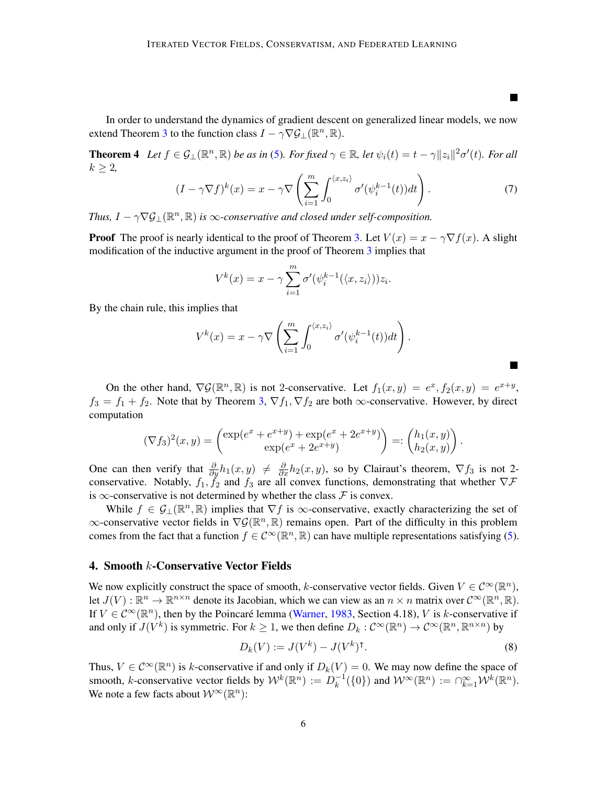In order to understand the dynamics of gradient descent on generalized linear models, we now extend Theorem [3](#page-4-1) to the function class  $I - \gamma \nabla \mathcal{G}_{\perp}(\mathbb{R}^n, \mathbb{R})$ .

**Theorem 4** Let  $f \in \mathcal{G}_\perp(\mathbb{R}^n, \mathbb{R})$  be as in [\(5\)](#page-4-0). For fixed  $\gamma \in \mathbb{R}$ , let  $\psi_i(t) = t - \gamma ||z_i||^2 \sigma'(t)$ . For all  $k \geq 2$ ,

$$
(I - \gamma \nabla f)^k(x) = x - \gamma \nabla \left( \sum_{i=1}^m \int_0^{\langle x, z_i \rangle} \sigma'(\psi_i^{k-1}(t)) dt \right). \tag{7}
$$

L.

 $\blacksquare$ 

*Thus,*  $I - \gamma \nabla \mathcal{G}_{\perp}(\mathbb{R}^n, \mathbb{R})$  *is*  $\infty$ *-conservative and closed under self-composition.* 

**Proof** The proof is nearly identical to the proof of Theorem [3.](#page-4-1) Let  $V(x) = x - \gamma \nabla f(x)$ . A slight modification of the inductive argument in the proof of Theorem [3](#page-4-1) implies that

$$
V^{k}(x) = x - \gamma \sum_{i=1}^{m} \sigma'(\psi_{i}^{k-1}(\langle x, z_{i} \rangle)) z_{i}.
$$

By the chain rule, this implies that

$$
V^{k}(x) = x - \gamma \nabla \left( \sum_{i=1}^{m} \int_{0}^{\langle x, z_{i} \rangle} \sigma'(\psi_{i}^{k-1}(t)) dt \right).
$$

On the other hand,  $\nabla \mathcal{G}(\mathbb{R}^n, \mathbb{R})$  is not 2-conservative. Let  $f_1(x, y) = e^x, f_2(x, y) = e^{x+y}$ ,  $f_3 = f_1 + f_2$ . Note that by Theorem [3,](#page-4-1)  $\nabla f_1$ ,  $\nabla f_2$  are both  $\infty$ -conservative. However, by direct computation

$$
(\nabla f_3)^2(x,y) = \begin{pmatrix} \exp(e^x + e^{x+y}) + \exp(e^x + 2e^{x+y}) \\ \exp(e^x + 2e^{x+y}) \end{pmatrix} =: \begin{pmatrix} h_1(x,y) \\ h_2(x,y) \end{pmatrix}.
$$

One can then verify that  $\frac{\partial}{\partial y}h_1(x,y) \neq \frac{\partial}{\partial x}h_2(x,y)$ , so by Clairaut's theorem,  $\nabla f_3$  is not 2conservative. Notably,  $f_1$ ,  $\tilde{f}_2$  and  $f_3$  are all convex functions, demonstrating that whether  $\nabla \mathcal{F}$ is  $\infty$ -conservative is not determined by whether the class  $\mathcal F$  is convex.

While  $f \in \mathcal{G}_\perp(\mathbb{R}^n, \mathbb{R})$  implies that  $\nabla f$  is  $\infty$ -conservative, exactly characterizing the set of  $\infty$ -conservative vector fields in  $\nabla \mathcal{G}(\mathbb{R}^n, \mathbb{R})$  remains open. Part of the difficulty in this problem comes from the fact that a function  $f \in C^{\infty}(\mathbb{R}^n, \mathbb{R})$  can have multiple representations satisfying [\(5\)](#page-4-0).

#### 4. Smooth k-Conservative Vector Fields

We now explicitly construct the space of smooth, k-conservative vector fields. Given  $V \in C^{\infty}(\mathbb{R}^n)$ , let  $J(V) : \mathbb{R}^n \to \mathbb{R}^{n \times n}$  denote its Jacobian, which we can view as an  $n \times n$  matrix over  $C^{\infty}(\mathbb{R}^n, \mathbb{R})$ . If  $V \in C^{\infty}(\mathbb{R}^n)$ , then by the Poincaré lemma [\(Warner,](#page-13-3) [1983,](#page-13-3) Section 4.18), V is k-conservative if and only if  $J(V^k)$  is symmetric. For  $k \geq 1$ , we then define  $D_k: C^{\infty}(\mathbb{R}^n) \to C^{\infty}(\mathbb{R}^n, \mathbb{R}^{n \times n})$  by

<span id="page-5-0"></span>
$$
D_k(V) := J(V^k) - J(V^k)^\mathsf{T}.\tag{8}
$$

Thus,  $V \in C^{\infty}(\mathbb{R}^n)$  is k-conservative if and only if  $D_k(V) = 0$ . We may now define the space of smooth, k-conservative vector fields by  $W^k(\mathbb{R}^n) := D_k^{-1}$  $\mathcal{W}^{-1}(\{0\})$  and  $\mathcal{W}^{\infty}(\mathbb{R}^n) := \cap_{k=1}^{\infty} \mathcal{W}^k(\mathbb{R}^n)$ . We note a few facts about  $\mathcal{W}^{\infty}(\mathbb{R}^n)$ :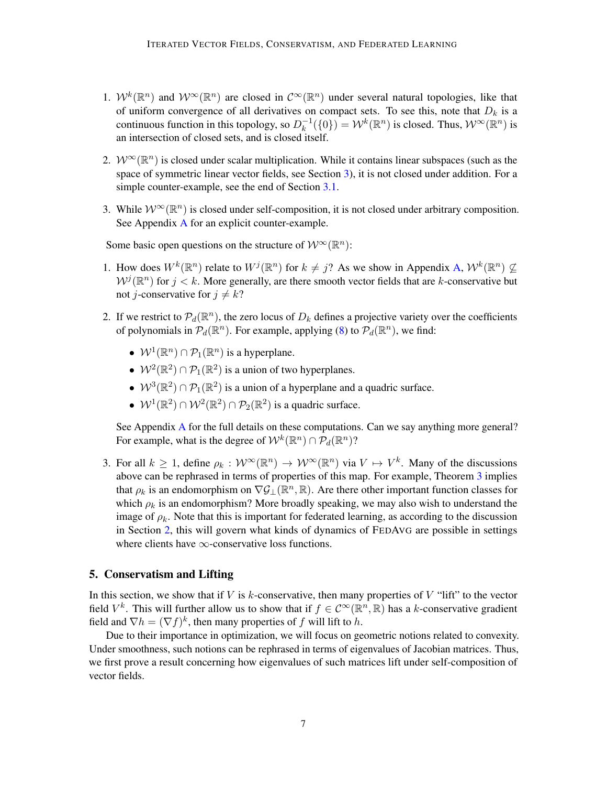- 1.  $W^k(\mathbb{R}^n)$  and  $W^{\infty}(\mathbb{R}^n)$  are closed in  $\mathcal{C}^{\infty}(\mathbb{R}^n)$  under several natural topologies, like that of uniform convergence of all derivatives on compact sets. To see this, note that  $D_k$  is a continuous function in this topology, so  $D_k^{-1}$  $\chi_k^{-1}(\{0\}) = \mathcal{W}^k(\mathbb{R}^n)$  is closed. Thus,  $\mathcal{W}^{\infty}(\mathbb{R}^n)$  is an intersection of closed sets, and is closed itself.
- 2.  $W^{\infty}(\mathbb{R}^n)$  is closed under scalar multiplication. While it contains linear subspaces (such as the space of symmetric linear vector fields, see Section [3\)](#page-3-1), it is not closed under addition. For a simple counter-example, see the end of Section [3.1.](#page-4-2)
- 3. While  $W^{\infty}(\mathbb{R}^n)$  is closed under self-composition, it is not closed under arbitrary composition. See Appendix [A](#page-13-1) for an explicit counter-example.

Some basic open questions on the structure of  $\mathcal{W}^{\infty}(\mathbb{R}^{n})$ :

- 1. How does  $W^k(\mathbb{R}^n)$  relate to  $W^j(\mathbb{R}^n)$  for  $k \neq j$ ? As we show in Appendix [A,](#page-13-1)  $W^k(\mathbb{R}^n) \nsubseteq$  $W^j(\mathbb{R}^n)$  for  $j < k$ . More generally, are there smooth vector fields that are k-conservative but not *j*-conservative for  $j \neq k$ ?
- 2. If we restrict to  $\mathcal{P}_d(\mathbb{R}^n)$ , the zero locus of  $D_k$  defines a projective variety over the coefficients of polynomials in  $\mathcal{P}_d(\mathbb{R}^n)$ . For example, applying [\(8\)](#page-5-0) to  $\mathcal{P}_d(\mathbb{R}^n)$ , we find:
	- $W^1(\mathbb{R}^n) \cap \mathcal{P}_1(\mathbb{R}^n)$  is a hyperplane.
	- $W^2(\mathbb{R}^2) \cap \mathcal{P}_1(\mathbb{R}^2)$  is a union of two hyperplanes.
	- $W^3(\mathbb{R}^2) \cap \mathcal{P}_1(\mathbb{R}^2)$  is a union of a hyperplane and a quadric surface.
	- $W^1(\mathbb{R}^2) \cap W^2(\mathbb{R}^2) \cap \mathcal{P}_2(\mathbb{R}^2)$  is a quadric surface.

See Appendix [A](#page-13-1) for the full details on these computations. Can we say anything more general? For example, what is the degree of  $\mathcal{W}^k(\mathbb{R}^n) \cap \mathcal{P}_d(\mathbb{R}^n)$ ?

3. For all  $k \geq 1$ , define  $\rho_k : \mathcal{W}^\infty(\mathbb{R}^n) \to \mathcal{W}^\infty(\mathbb{R}^n)$  via  $V \mapsto V^k$ . Many of the discussions above can be rephrased in terms of properties of this map. For example, Theorem [3](#page-4-1) implies that  $\rho_k$  is an endomorphism on  $\nabla \mathcal{G}_\perp(\mathbb{R}^n, \mathbb{R})$ . Are there other important function classes for which  $\rho_k$  is an endomorphism? More broadly speaking, we may also wish to understand the image of  $\rho_k$ . Note that this is important for federated learning, as according to the discussion in Section [2,](#page-1-1) this will govern what kinds of dynamics of FEDAVG are possible in settings where clients have  $\infty$ -conservative loss functions.

# 5. Conservatism and Lifting

In this section, we show that if  $V$  is k-conservative, then many properties of  $V$  "lift" to the vector field  $V^k$ . This will further allow us to show that if  $f \in C^{\infty}(\mathbb{R}^n, \mathbb{R})$  has a k-conservative gradient field and  $\nabla h = (\nabla f)^k$ , then many properties of f will lift to h.

<span id="page-6-0"></span>Due to their importance in optimization, we will focus on geometric notions related to convexity. Under smoothness, such notions can be rephrased in terms of eigenvalues of Jacobian matrices. Thus, we first prove a result concerning how eigenvalues of such matrices lift under self-composition of vector fields.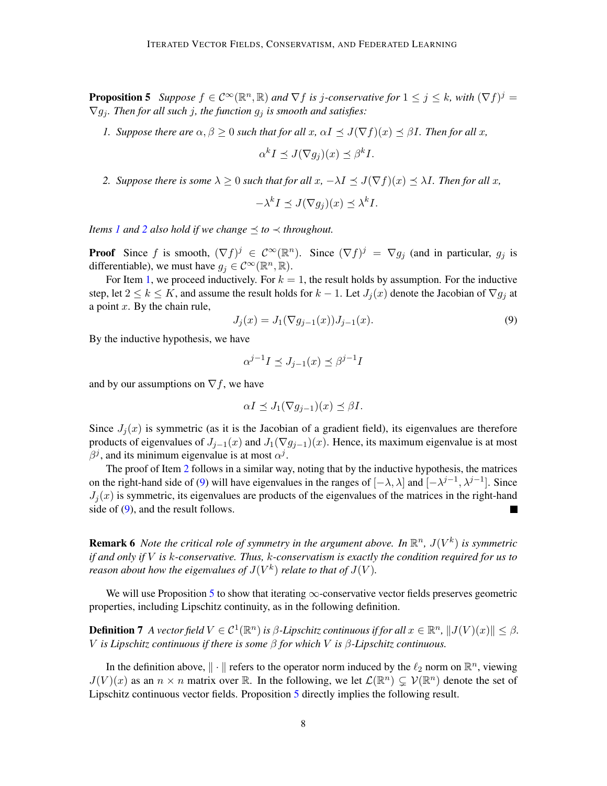**Proposition 5** Suppose  $f \in C^{\infty}(\mathbb{R}^n, \mathbb{R})$  and  $\nabla f$  is j-conservative for  $1 \leq j \leq k$ , with  $(\nabla f)^j =$  $\nabla g_i$ . Then for all such *j*, the function  $g_i$  is smooth and satisfies:

<span id="page-7-0"></span>*1. Suppose there are*  $\alpha, \beta \ge 0$  *such that for all*  $x, \alpha I \preceq J(\nabla f)(x) \preceq \beta I$ *. Then for all*  $x$ *,* 

$$
\alpha^k I \preceq J(\nabla g_j)(x) \preceq \beta^k I.
$$

<span id="page-7-1"></span>*2. Suppose there is some*  $\lambda \geq 0$  *such that for all*  $x$ ,  $-\lambda I \leq J(\nabla f)(x) \leq \lambda I$ *. Then for all*  $x$ *,* 

$$
-\lambda^k I \preceq J(\nabla g_j)(x) \preceq \lambda^k I.
$$

*Items [1](#page-7-0)* and [2](#page-7-1) also hold if we change  $\leq$  to  $\prec$  throughout.

**Proof** Since f is smooth,  $(\nabla f)^j \in C^\infty(\mathbb{R}^n)$ . Since  $(\nabla f)^j = \nabla g_j$  (and in particular,  $g_j$  is differentiable), we must have  $g_j \in C^{\infty}(\mathbb{R}^n, \mathbb{R})$ .

For Item [1,](#page-7-0) we proceed inductively. For  $k = 1$ , the result holds by assumption. For the inductive step, let  $2 \le k \le K$ , and assume the result holds for  $k-1$ . Let  $J_i(x)$  denote the Jacobian of  $\nabla g_i$  at a point  $x$ . By the chain rule,

<span id="page-7-2"></span>
$$
J_j(x) = J_1(\nabla g_{j-1}(x))J_{j-1}(x).
$$
\n(9)

By the inductive hypothesis, we have

$$
\alpha^{j-1}I \preceq J_{j-1}(x) \preceq \beta^{j-1}I
$$

and by our assumptions on  $\nabla f$ , we have

$$
\alpha I \preceq J_1(\nabla g_{j-1})(x) \preceq \beta I.
$$

Since  $J_j(x)$  is symmetric (as it is the Jacobian of a gradient field), its eigenvalues are therefore products of eigenvalues of  $J_{j-1}(x)$  and  $J_1(\nabla g_{j-1})(x)$ . Hence, its maximum eigenvalue is at most  $\beta^j$ , and its minimum eigenvalue is at most  $\alpha^j$ .

The proof of Item [2](#page-7-1) follows in a similar way, noting that by the inductive hypothesis, the matrices on the right-hand side of [\(9\)](#page-7-2) will have eigenvalues in the ranges of  $[-\lambda, \lambda]$  and  $[-\lambda^{j-1}, \lambda^{j-1}]$ . Since  $J_j(x)$  is symmetric, its eigenvalues are products of the eigenvalues of the matrices in the right-hand side of [\(9\)](#page-7-2), and the result follows.

**Remark 6** Note the critical role of symmetry in the argument above. In  $\mathbb{R}^n$ ,  $J(V^k)$  is symmetric *if and only if* V *is* k*-conservative. Thus,* k*-conservatism is exactly the condition required for us to reason about how the eigenvalues of*  $J(V^k)$  *relate to that of*  $J(V)$ *.* 

We will use Proposition [5](#page-6-0) to show that iterating  $\infty$ -conservative vector fields preserves geometric properties, including Lipschitz continuity, as in the following definition.

**Definition 7** A vector field  $V \in C^1(\mathbb{R}^n)$  is  $\beta$ -Lipschitz continuous if for all  $x \in \mathbb{R}^n$ ,  $||J(V)(x)|| \leq \beta$ . V *is Lipschitz continuous if there is some* β *for which* V *is* β*-Lipschitz continuous.*

In the definition above,  $\|\cdot\|$  refers to the operator norm induced by the  $\ell_2$  norm on  $\mathbb{R}^n$ , viewing  $J(V)(x)$  as an  $n \times n$  matrix over R. In the following, we let  $\mathcal{L}(\mathbb{R}^n) \subsetneq \mathcal{V}(\mathbb{R}^n)$  denote the set of Lipschitz continuous vector fields. Proposition [5](#page-6-0) directly implies the following result.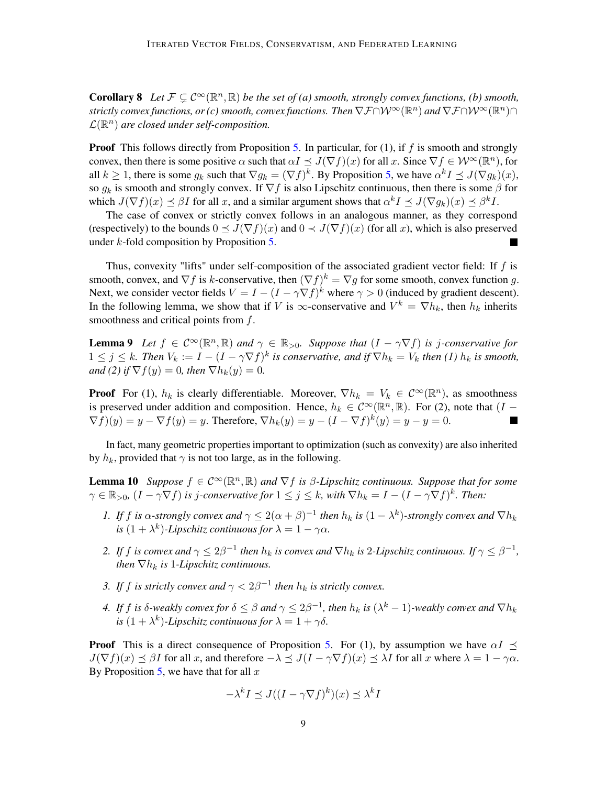**Corollary 8** Let  $\mathcal{F} \subsetneq \mathcal{C}^{\infty}(\mathbb{R}^n, \mathbb{R})$  be the set of (a) smooth, strongly convex functions, (b) smooth,  $s$ trictly convex functions, or (c) smooth, convex functions. Then  $\nabla \mathcal{F} \cap \mathcal{W}^\infty(\mathbb{R}^n)$  and  $\nabla \mathcal{F} \cap \mathcal{W}^\infty(\mathbb{R}^n) \cap$  $\mathcal{L}(\mathbb{R}^n)$  are closed under self-composition.

**Proof** This follows directly from Proposition [5.](#page-6-0) In particular, for  $(1)$ , if f is smooth and strongly convex, then there is some positive  $\alpha$  such that  $\alpha I \preceq J(\nabla f)(x)$  for all x. Since  $\nabla f \in \mathcal{W}^{\infty}(\mathbb{R}^n)$ , for all  $k \ge 1$ , there is some  $g_k$  such that  $\nabla g_k = (\nabla f)^k$ . By Proposition [5,](#page-6-0) we have  $\alpha^k I \preceq J(\nabla g_k)(x)$ , so  $g_k$  is smooth and strongly convex. If  $\nabla f$  is also Lipschitz continuous, then there is some  $\beta$  for which  $J(\nabla f)(x) \preceq \beta I$  for all x, and a similar argument shows that  $\alpha^k I \preceq J(\nabla g_k)(x) \preceq \beta^k I$ .

The case of convex or strictly convex follows in an analogous manner, as they correspond (respectively) to the bounds  $0 \leq J(\nabla f)(x)$  and  $0 \leq J(\nabla f)(x)$  (for all x), which is also preserved under  $k$ -fold composition by Proposition [5.](#page-6-0)

Thus, convexity "lifts" under self-composition of the associated gradient vector field: If  $f$  is smooth, convex, and  $\nabla f$  is k-conservative, then  $(\nabla f)^k = \nabla g$  for some smooth, convex function g. Next, we consider vector fields  $V = I - (I - \gamma \nabla f)^k$  where  $\gamma > 0$  (induced by gradient descent). In the following lemma, we show that if V is  $\infty$ -conservative and  $V^k = \nabla h_k$ , then  $h_k$  inherits smoothness and critical points from f.

<span id="page-8-0"></span>**Lemma 9** Let  $f \in C^{\infty}(\mathbb{R}^n, \mathbb{R})$  and  $\gamma \in \mathbb{R}_{>0}$ . Suppose that  $(I - \gamma \nabla f)$  is j-conservative for  $1 \leq j \leq k$ . Then  $V_k := I - (I - \gamma \nabla f)^k$  is conservative, and if  $\nabla h_k = V_k$  then (1)  $h_k$  is smooth, *and* (2) if  $\nabla f(y) = 0$ *, then*  $\nabla h_k(y) = 0$ *.* 

**Proof** For (1),  $h_k$  is clearly differentiable. Moreover,  $\nabla h_k = V_k \in C^\infty(\mathbb{R}^n)$ , as smoothness is preserved under addition and composition. Hence,  $h_k \in C^{\infty}(\mathbb{R}^n, \mathbb{R})$ . For (2), note that  $(I \nabla f)(y) = y - \nabla f(y) = y$ . Therefore,  $\nabla h_k(y) = y - (I - \nabla f)^k(y) = y - y = 0$ .

In fact, many geometric properties important to optimization (such as convexity) are also inherited by  $h_k$ , provided that  $\gamma$  is not too large, as in the following.

<span id="page-8-1"></span>**Lemma 10** Suppose  $f \in C^{\infty}(\mathbb{R}^n, \mathbb{R})$  and  $\nabla f$  is  $\beta$ -Lipschitz continuous. Suppose that for some  $\gamma \in \mathbb{R}_{>0}$ ,  $(I - \gamma \nabla f)$  *is j-conservative for*  $1 \leq j \leq k$ , with  $\nabla h_k = I - (I - \gamma \nabla f)^k$ . Then:

- *1. If* f *is*  $\alpha$ -strongly convex and  $\gamma \leq 2(\alpha + \beta)^{-1}$  then  $h_k$  *is*  $(1 \lambda^k)$ -strongly convex and  $\nabla h_k$ *is*  $(1 + \lambda^k)$ -Lipschitz continuous for  $\lambda = 1 - \gamma \alpha$ .
- 2. If f is convex and  $\gamma \leq 2\beta^{-1}$  then  $h_k$  is convex and  $\nabla h_k$  is 2-Lipschitz continuous. If  $\gamma \leq \beta^{-1}$ , *then*  $\nabla h_k$  *is* 1-*Lipschitz continuous.*
- *3.* If f is strictly convex and  $\gamma < 2\beta^{-1}$  then  $h_k$  is strictly convex.
- *4.* If f is  $\delta$ -weakly convex for  $\delta \leq \beta$  and  $\gamma \leq 2\beta^{-1}$ , then  $h_k$  is  $(\lambda^k 1)$ -weakly convex and  $\nabla h_k$ *is*  $(1 + \lambda^k)$ -Lipschitz continuous for  $\lambda = 1 + \gamma \delta$ .

**Proof** This is a direct consequence of Proposition [5.](#page-6-0) For (1), by assumption we have  $\alpha I \prec$  $J(\nabla f)(x) \preceq \beta I$  for all x, and therefore  $-\lambda \preceq J(I - \gamma \nabla f)(x) \preceq \lambda I$  for all x where  $\lambda = 1 - \gamma \alpha$ . By Proposition [5,](#page-6-0) we have that for all  $x$ 

$$
-\lambda^k I \preceq J((I - \gamma \nabla f)^k)(x) \preceq \lambda^k I
$$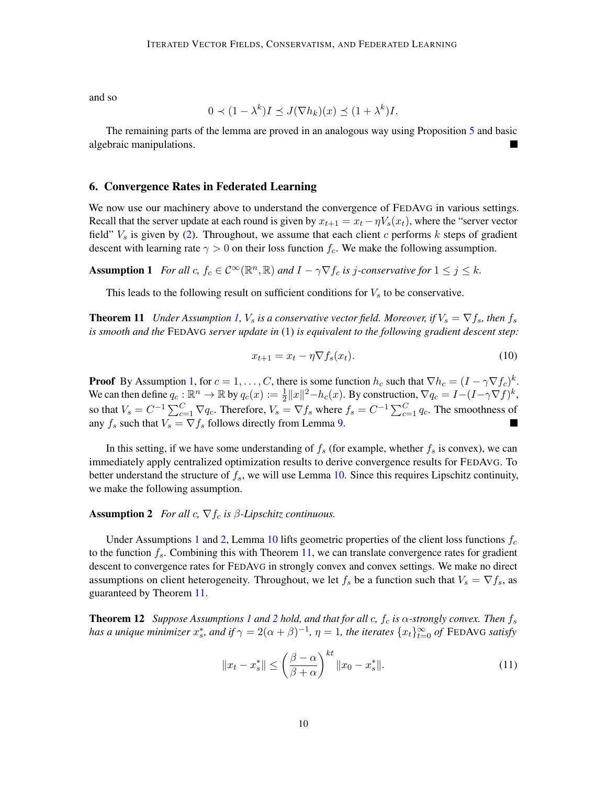and so

$$
0 \prec (1 - \lambda^k)I \preceq J(\nabla h_k)(x) \preceq (1 + \lambda^k)I.
$$

The remaining parts of the lemma are proved in an analogous way using Proposition [5](#page-6-0) and basic algebraic manipulations.

## <span id="page-9-1"></span>6. Convergence Rates in Federated Learning

We now use our machinery above to understand the convergence of FEDAVG in various settings. Recall that the server update at each round is given by  $x_{t+1} = x_t - \eta V_s(x_t)$ , where the "server vector" field"  $V<sub>s</sub>$  is given by [\(2\)](#page-2-2). Throughout, we assume that each client c performs k steps of gradient descent with learning rate  $\gamma > 0$  on their loss function  $f_c$ . We make the following assumption.

**Assumption 1** For all  $c, f_c \in C^{\infty}(\mathbb{R}^n, \mathbb{R})$  and  $I - \gamma \nabla f_c$  is j-conservative for  $1 \leq j \leq k$ .

This leads to the following result on sufficient conditions for  $V_s$  to be conservative.

<span id="page-9-0"></span>**Theorem 11** *Under Assumption [1,](#page-9-2) V<sub>s</sub> is a conservative vector field. Moreover, if*  $V_s = \nabla f_s$ , then  $f_s$ *is smooth and the* FEDAVG *server update in* [\(1\)](#page-2-0) *is equivalent to the following gradient descent step:*

<span id="page-9-2"></span>
$$
x_{t+1} = x_t - \eta \nabla f_s(x_t). \tag{10}
$$

**Proof** By Assumption [1,](#page-9-2) for  $c = 1, ..., C$ , there is some function  $h_c$  such that  $\nabla h_c = (I - \gamma \nabla f_c)^k$ . We can then define  $q_c : \mathbb{R}^n \to \mathbb{R}$  by  $q_c(x) := \frac{1}{2} ||x||^2 - h_c(x)$ . By construction,  $\nabla q_c = I - (I - \gamma \nabla f)^k$ , so that  $V_s = C^{-1} \sum_{c=1}^{C} \nabla q_c$ . Therefore,  $V_s = \nabla f_s$  where  $f_s = C^{-1} \sum_{c=1}^{C} q_c$ . The smoothness of any  $f_s$  such that  $V_s = \nabla f_s$  follows directly from Lemma [9.](#page-8-0)

In this setting, if we have some understanding of  $f_s$  (for example, whether  $f_s$  is convex), we can immediately apply centralized optimization results to derive convergence results for FEDAVG. To better understand the structure of  $f_s$ , we will use Lemma [10.](#page-8-1) Since this requires Lipschitz continuity, we make the following assumption.

# <span id="page-9-3"></span>**Assumption 2** *For all*  $c$ ,  $\nabla f_c$  *is*  $\beta$ *-Lipschitz continuous.*

Under Assumptions [1](#page-9-2) and [2,](#page-9-3) Lemma [10](#page-8-1) lifts geometric properties of the client loss functions  $f_c$ to the function  $f_s$ . Combining this with Theorem [11,](#page-9-0) we can translate convergence rates for gradient descent to convergence rates for FEDAVG in strongly convex and convex settings. We make no direct assumptions on client heterogeneity. Throughout, we let  $f_s$  be a function such that  $V_s = \nabla f_s$ , as guaranteed by Theorem [11.](#page-9-0)

<span id="page-9-5"></span>**Theorem [1](#page-9-2)[2](#page-9-3)** *Suppose Assumptions 1 and* 2 *hold, and that for all c,*  $f_c$  *<i>is*  $\alpha$ *-strongly convex. Then*  $f_s$ *has a unique minimizer*  $x_s^*$ *, and if*  $\gamma = 2(\alpha + \beta)^{-1}$ ,  $\eta = 1$ , the iterates  $\{x_t\}_{t=0}^\infty$  of FEDAVG satisfy

<span id="page-9-4"></span>
$$
||x_t - x_s^*|| \le \left(\frac{\beta - \alpha}{\beta + \alpha}\right)^{kt} ||x_0 - x_s^*||. \tag{11}
$$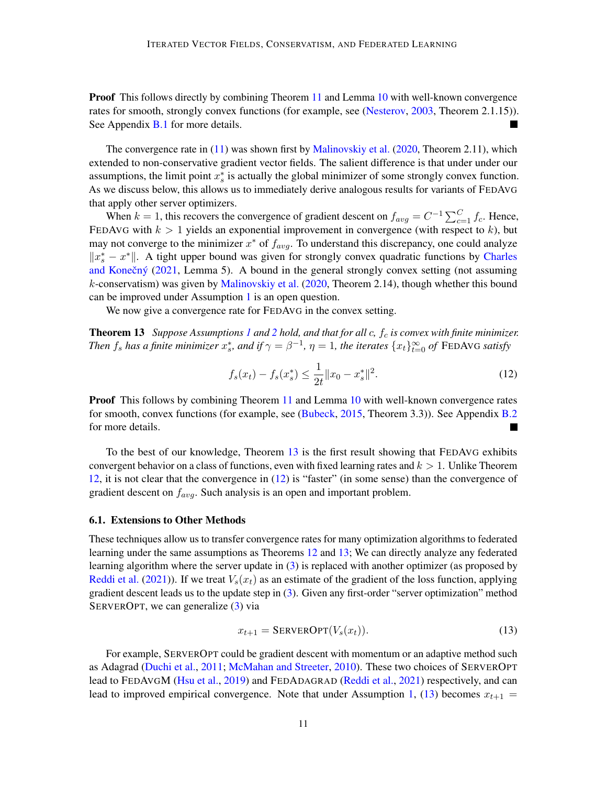**Proof** This follows directly by combining Theorem [11](#page-9-0) and Lemma [10](#page-8-1) with well-known convergence rates for smooth, strongly convex functions (for example, see [\(Nesterov,](#page-12-6) [2003,](#page-12-6) Theorem 2.1.15)). See Appendix **[B.1](#page-15-0)** for more details. ×

The convergence rate in  $(11)$  was shown first by [Malinovskiy et al.](#page-12-2)  $(2020,$  Theorem 2.11), which extended to non-conservative gradient vector fields. The salient difference is that under under our assumptions, the limit point  $x_s^*$  is actually the global minimizer of some strongly convex function. As we discuss below, this allows us to immediately derive analogous results for variants of FEDAVG that apply other server optimizers.

When  $k = 1$ , this recovers the convergence of gradient descent on  $f_{avg} = C^{-1} \sum_{c=1}^{C} f_c$ . Hence, FEDAVG with  $k > 1$  yields an exponential improvement in convergence (with respect to k), but may not converge to the minimizer  $x^*$  of  $f_{avg}$ . To understand this discrepancy, one could analyze  $||x_s^* - x^*||$ . A tight upper bound was given for strongly convex quadratic functions by [Charles](#page-12-5) and Konečný  $(2021,$  Lemma 5). A bound in the general strongly convex setting (not assuming  $k$ -conservatism) was given by [Malinovskiy et al.](#page-12-2) [\(2020,](#page-12-2) Theorem 2.14), though whether this bound can be improved under Assumption [1](#page-9-2) is an open question.

We now give a convergence rate for FEDAVG in the convex setting.

Theorem 13 *Suppose Assumptions [1](#page-9-2) and [2](#page-9-3) hold, and that for all* c*,* f<sup>c</sup> *is convex with finite minimizer. Then*  $f_s$  *has a finite minimizer*  $x_s^*$ *, and if*  $\gamma = \beta^{-1}$ *,*  $\eta = 1$ *, the iterates*  $\{x_t\}_{t=0}^\infty$  *of* FEDAVG *satisfy* 

<span id="page-10-1"></span><span id="page-10-0"></span>
$$
f_s(x_t) - f_s(x_s^*) \le \frac{1}{2t} \|x_0 - x_s^*\|^2. \tag{12}
$$

**Proof** This follows by combining Theorem [11](#page-9-0) and Lemma [10](#page-8-1) with well-known convergence rates for smooth, convex functions (for example, see [\(Bubeck,](#page-12-7) [2015,](#page-12-7) Theorem 3.3)). See Appendix [B.2](#page-15-1) for more details.

To the best of our knowledge, Theorem [13](#page-10-0) is the first result showing that FEDAVG exhibits convergent behavior on a class of functions, even with fixed learning rates and  $k > 1$ . Unlike Theorem [12,](#page-9-5) it is not clear that the convergence in [\(12\)](#page-10-1) is "faster" (in some sense) than the convergence of gradient descent on  $f_{ava}$ . Such analysis is an open and important problem.

#### 6.1. Extensions to Other Methods

These techniques allow us to transfer convergence rates for many optimization algorithms to federated learning under the same assumptions as Theorems [12](#page-9-5) and [13;](#page-10-0) We can directly analyze any federated learning algorithm where the server update in [\(3\)](#page-2-1) is replaced with another optimizer (as proposed by [Reddi et al.](#page-13-0) [\(2021\)](#page-13-0)). If we treat  $V_s(x_t)$  as an estimate of the gradient of the loss function, applying gradient descent leads us to the update step in [\(3\)](#page-2-1). Given any first-order "server optimization" method SERVEROPT, we can generalize [\(3\)](#page-2-1) via

<span id="page-10-2"></span>
$$
x_{t+1} = \text{SERVEROPT}(V_s(x_t)).\tag{13}
$$

For example, SERVEROPT could be gradient descent with momentum or an adaptive method such as Adagrad [\(Duchi et al.,](#page-12-8) [2011;](#page-12-8) [McMahan and Streeter,](#page-12-9) [2010\)](#page-12-9). These two choices of SERVEROPT lead to FEDAVGM [\(Hsu et al.,](#page-12-10) [2019\)](#page-12-10) and FEDADAGRAD [\(Reddi et al.,](#page-13-0) [2021\)](#page-13-0) respectively, and can lead to improved empirical convergence. Note that under Assumption [1,](#page-9-2) [\(13\)](#page-10-2) becomes  $x_{t+1} =$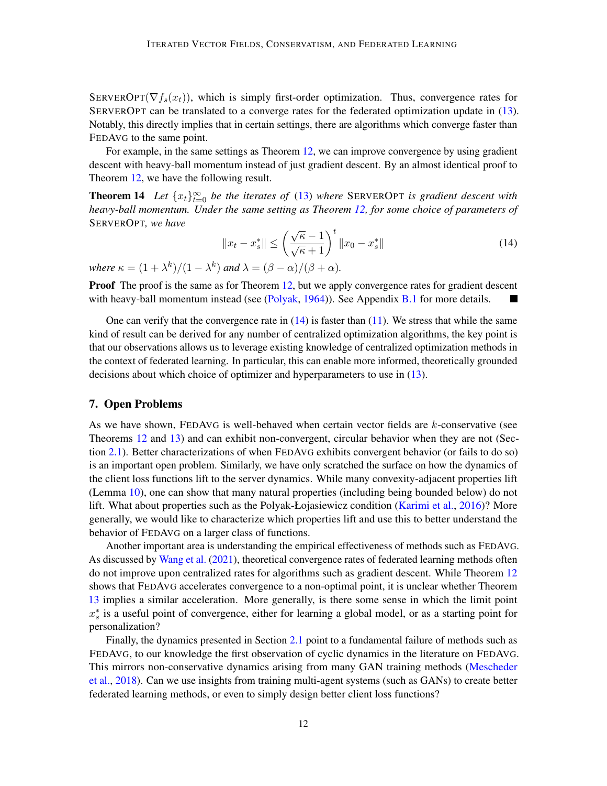SERVEROPT( $\nabla f_s(x_t)$ ), which is simply first-order optimization. Thus, convergence rates for SERVEROPT can be translated to a converge rates for the federated optimization update in [\(13\)](#page-10-2). Notably, this directly implies that in certain settings, there are algorithms which converge faster than FEDAVG to the same point.

For example, in the same settings as Theorem [12,](#page-9-5) we can improve convergence by using gradient descent with heavy-ball momentum instead of just gradient descent. By an almost identical proof to Theorem [12,](#page-9-5) we have the following result.

**Theorem 14** Let  $\{x_t\}_{t=0}^{\infty}$  be the iterates of [\(13\)](#page-10-2) where SERVEROPT is gradient descent with *heavy-ball momentum. Under the same setting as Theorem [12,](#page-9-5) for some choice of parameters of* SERVEROPT*, we have*

<span id="page-11-1"></span><span id="page-11-0"></span>
$$
||x_t - x_s^*|| \le \left(\frac{\sqrt{\kappa} - 1}{\sqrt{\kappa} + 1}\right)^t ||x_0 - x_s^*|| \tag{14}
$$

*where*  $\kappa = (1 + \lambda^k)/(1 - \lambda^k)$  *and*  $\lambda = (\beta - \alpha)/(\beta + \alpha)$ *.* 

**Proof** The proof is the same as for Theorem [12,](#page-9-5) but we apply convergence rates for gradient descent with heavy-ball momentum instead (see [\(Polyak,](#page-13-4)  $1964$ )). See Appendix [B.1](#page-15-0) for more details.

One can verify that the convergence rate in  $(14)$  is faster than  $(11)$ . We stress that while the same kind of result can be derived for any number of centralized optimization algorithms, the key point is that our observations allows us to leverage existing knowledge of centralized optimization methods in the context of federated learning. In particular, this can enable more informed, theoretically grounded decisions about which choice of optimizer and hyperparameters to use in [\(13\)](#page-10-2).

# 7. Open Problems

As we have shown,  $FEDAVG$  is well-behaved when certain vector fields are  $k$ -conservative (see Theorems [12](#page-9-5) and [13\)](#page-10-0) and can exhibit non-convergent, circular behavior when they are not (Section [2.1\)](#page-2-4). Better characterizations of when FEDAVG exhibits convergent behavior (or fails to do so) is an important open problem. Similarly, we have only scratched the surface on how the dynamics of the client loss functions lift to the server dynamics. While many convexity-adjacent properties lift (Lemma [10\)](#page-8-1), one can show that many natural properties (including being bounded below) do not lift. What about properties such as the Polyak-Łojasiewicz condition [\(Karimi et al.,](#page-12-11) [2016\)](#page-12-11)? More generally, we would like to characterize which properties lift and use this to better understand the behavior of FEDAVG on a larger class of functions.

Another important area is understanding the empirical effectiveness of methods such as FEDAVG. As discussed by [Wang et al.](#page-13-5) [\(2021\)](#page-13-5), theoretical convergence rates of federated learning methods often do not improve upon centralized rates for algorithms such as gradient descent. While Theorem [12](#page-9-5) shows that FEDAVG accelerates convergence to a non-optimal point, it is unclear whether Theorem [13](#page-10-0) implies a similar acceleration. More generally, is there some sense in which the limit point  $x_s^*$  is a useful point of convergence, either for learning a global model, or as a starting point for personalization?

Finally, the dynamics presented in Section [2.1](#page-2-4) point to a fundamental failure of methods such as FEDAVG, to our knowledge the first observation of cyclic dynamics in the literature on FEDAVG. This mirrors non-conservative dynamics arising from many GAN training methods [\(Mescheder](#page-12-12) [et al.,](#page-12-12) [2018\)](#page-12-12). Can we use insights from training multi-agent systems (such as GANs) to create better federated learning methods, or even to simply design better client loss functions?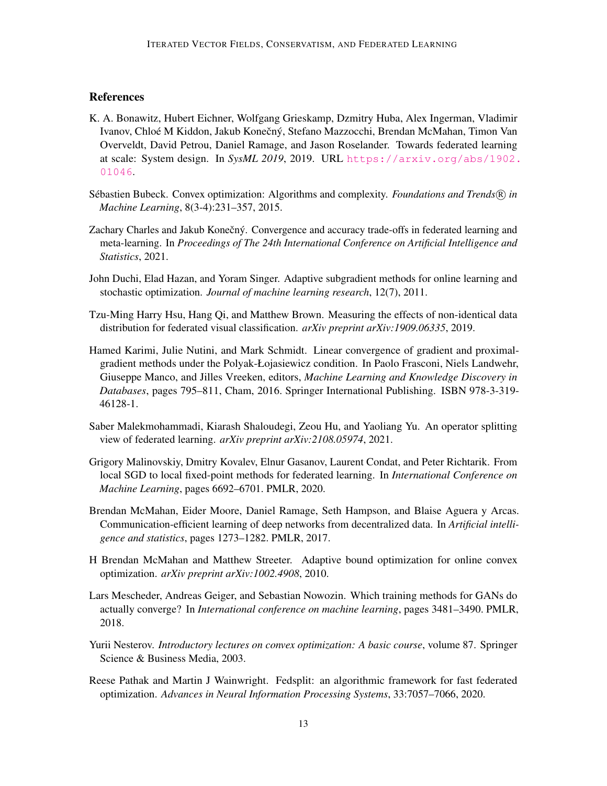# **References**

- <span id="page-12-1"></span>K. A. Bonawitz, Hubert Eichner, Wolfgang Grieskamp, Dzmitry Huba, Alex Ingerman, Vladimir Ivanov, Chloé M Kiddon, Jakub Konečný, Stefano Mazzocchi, Brendan McMahan, Timon Van Overveldt, David Petrou, Daniel Ramage, and Jason Roselander. Towards federated learning at scale: System design. In *SysML 2019*, 2019. URL [https://arxiv.org/abs/1902.](https://arxiv.org/abs/1902.01046) [01046](https://arxiv.org/abs/1902.01046).
- <span id="page-12-7"></span>Sébastien Bubeck. Convex optimization: Algorithms and complexity. *Foundations and Trends* R *in Machine Learning*, 8(3-4):231–357, 2015.
- <span id="page-12-5"></span>Zachary Charles and Jakub Konečný. Convergence and accuracy trade-offs in federated learning and meta-learning. In *Proceedings of The 24th International Conference on Artificial Intelligence and Statistics*, 2021.
- <span id="page-12-8"></span>John Duchi, Elad Hazan, and Yoram Singer. Adaptive subgradient methods for online learning and stochastic optimization. *Journal of machine learning research*, 12(7), 2011.
- <span id="page-12-10"></span>Tzu-Ming Harry Hsu, Hang Qi, and Matthew Brown. Measuring the effects of non-identical data distribution for federated visual classification. *arXiv preprint arXiv:1909.06335*, 2019.
- <span id="page-12-11"></span>Hamed Karimi, Julie Nutini, and Mark Schmidt. Linear convergence of gradient and proximalgradient methods under the Polyak-Łojasiewicz condition. In Paolo Frasconi, Niels Landwehr, Giuseppe Manco, and Jilles Vreeken, editors, *Machine Learning and Knowledge Discovery in Databases*, pages 795–811, Cham, 2016. Springer International Publishing. ISBN 978-3-319- 46128-1.
- <span id="page-12-4"></span>Saber Malekmohammadi, Kiarash Shaloudegi, Zeou Hu, and Yaoliang Yu. An operator splitting view of federated learning. *arXiv preprint arXiv:2108.05974*, 2021.
- <span id="page-12-2"></span>Grigory Malinovskiy, Dmitry Kovalev, Elnur Gasanov, Laurent Condat, and Peter Richtarik. From local SGD to local fixed-point methods for federated learning. In *International Conference on Machine Learning*, pages 6692–6701. PMLR, 2020.
- <span id="page-12-0"></span>Brendan McMahan, Eider Moore, Daniel Ramage, Seth Hampson, and Blaise Aguera y Arcas. Communication-efficient learning of deep networks from decentralized data. In *Artificial intelligence and statistics*, pages 1273–1282. PMLR, 2017.
- <span id="page-12-9"></span>H Brendan McMahan and Matthew Streeter. Adaptive bound optimization for online convex optimization. *arXiv preprint arXiv:1002.4908*, 2010.
- <span id="page-12-12"></span>Lars Mescheder, Andreas Geiger, and Sebastian Nowozin. Which training methods for GANs do actually converge? In *International conference on machine learning*, pages 3481–3490. PMLR, 2018.
- <span id="page-12-6"></span>Yurii Nesterov. *Introductory lectures on convex optimization: A basic course*, volume 87. Springer Science & Business Media, 2003.
- <span id="page-12-3"></span>Reese Pathak and Martin J Wainwright. Fedsplit: an algorithmic framework for fast federated optimization. *Advances in Neural Information Processing Systems*, 33:7057–7066, 2020.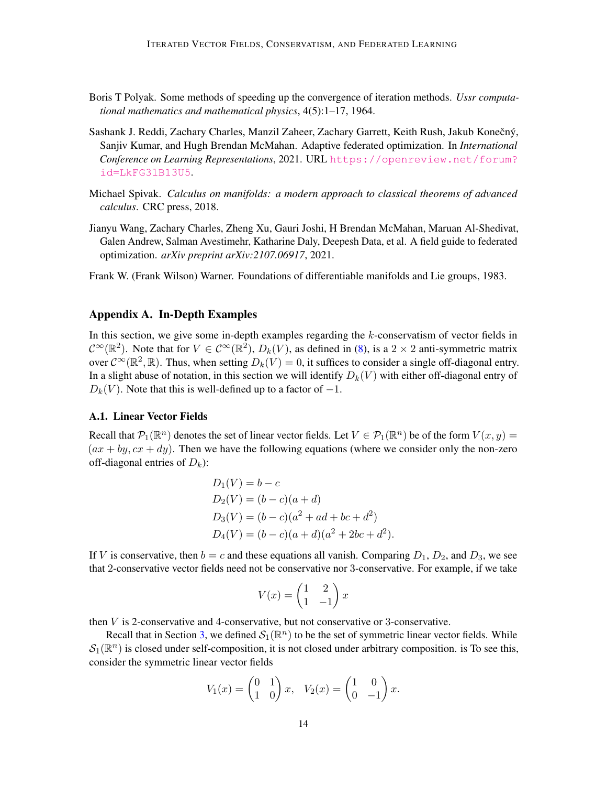- <span id="page-13-4"></span>Boris T Polyak. Some methods of speeding up the convergence of iteration methods. *Ussr computational mathematics and mathematical physics*, 4(5):1–17, 1964.
- <span id="page-13-0"></span>Sashank J. Reddi, Zachary Charles, Manzil Zaheer, Zachary Garrett, Keith Rush, Jakub Konečný, Sanjiv Kumar, and Hugh Brendan McMahan. Adaptive federated optimization. In *International Conference on Learning Representations*, 2021. URL [https://openreview.net/forum?](https://openreview.net/forum?id=LkFG3lB13U5) [id=LkFG3lB13U5](https://openreview.net/forum?id=LkFG3lB13U5).
- <span id="page-13-2"></span>Michael Spivak. *Calculus on manifolds: a modern approach to classical theorems of advanced calculus*. CRC press, 2018.
- <span id="page-13-5"></span>Jianyu Wang, Zachary Charles, Zheng Xu, Gauri Joshi, H Brendan McMahan, Maruan Al-Shedivat, Galen Andrew, Salman Avestimehr, Katharine Daly, Deepesh Data, et al. A field guide to federated optimization. *arXiv preprint arXiv:2107.06917*, 2021.

<span id="page-13-3"></span>Frank W. (Frank Wilson) Warner. Foundations of differentiable manifolds and Lie groups, 1983.

# <span id="page-13-1"></span>Appendix A. In-Depth Examples

In this section, we give some in-depth examples regarding the  $k$ -conservatism of vector fields in  $\mathcal{C}^{\infty}(\mathbb{R}^2)$ . Note that for  $V \in \mathcal{C}^{\infty}(\mathbb{R}^2)$ ,  $D_k(V)$ , as defined in [\(8\)](#page-5-0), is a  $2 \times 2$  anti-symmetric matrix over  $C^{\infty}(\mathbb{R}^2, \mathbb{R})$ . Thus, when setting  $D_k(V) = 0$ , it suffices to consider a single off-diagonal entry. In a slight abuse of notation, in this section we will identify  $D_k(V)$  with either off-diagonal entry of  $D_k(V)$ . Note that this is well-defined up to a factor of  $-1$ .

#### A.1. Linear Vector Fields

Recall that  $P_1(\mathbb{R}^n)$  denotes the set of linear vector fields. Let  $V \in P_1(\mathbb{R}^n)$  be of the form  $V(x, y) =$  $(ax + by, cx + dy)$ . Then we have the following equations (where we consider only the non-zero off-diagonal entries of  $D_k$ ):

$$
D_1(V) = b - c
$$
  
\n
$$
D_2(V) = (b - c)(a + d)
$$
  
\n
$$
D_3(V) = (b - c)(a^2 + ad + bc + d^2)
$$
  
\n
$$
D_4(V) = (b - c)(a + d)(a^2 + 2bc + d^2).
$$

If V is conservative, then  $b = c$  and these equations all vanish. Comparing  $D_1$ ,  $D_2$ , and  $D_3$ , we see that 2-conservative vector fields need not be conservative nor 3-conservative. For example, if we take

$$
V(x) = \begin{pmatrix} 1 & 2 \\ 1 & -1 \end{pmatrix} x
$$

then  $V$  is 2-conservative and 4-conservative, but not conservative or 3-conservative.

Recall that in Section [3,](#page-3-1) we defined  $\mathcal{S}_1(\mathbb{R}^n)$  to be the set of symmetric linear vector fields. While  $\mathcal{S}_1(\mathbb{R}^n)$  is closed under self-composition, it is not closed under arbitrary composition. is To see this, consider the symmetric linear vector fields

$$
V_1(x) = \begin{pmatrix} 0 & 1 \\ 1 & 0 \end{pmatrix} x, \quad V_2(x) = \begin{pmatrix} 1 & 0 \\ 0 & -1 \end{pmatrix} x.
$$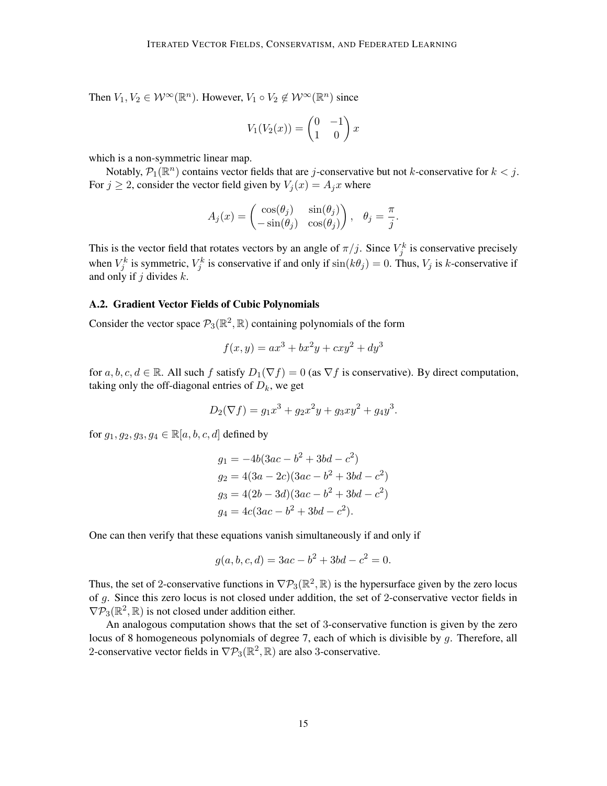Then  $V_1, V_2 \in \mathcal{W}^{\infty}(\mathbb{R}^n)$ . However,  $V_1 \circ V_2 \notin \mathcal{W}^{\infty}(\mathbb{R}^n)$  since

$$
V_1(V_2(x)) = \begin{pmatrix} 0 & -1 \\ 1 & 0 \end{pmatrix} x
$$

which is a non-symmetric linear map.

Notably,  $\mathcal{P}_1(\mathbb{R}^n)$  contains vector fields that are *j*-conservative but not *k*-conservative for  $k < j$ . For  $j \ge 2$ , consider the vector field given by  $V_j(x) = A_j x$  where

$$
A_j(x) = \begin{pmatrix} \cos(\theta_j) & \sin(\theta_j) \\ -\sin(\theta_j) & \cos(\theta_j) \end{pmatrix}, \quad \theta_j = \frac{\pi}{j}.
$$

This is the vector field that rotates vectors by an angle of  $\pi/j$ . Since  $V_j^k$  is conservative precisely when  $V_j^k$  is symmetric,  $V_j^k$  is conservative if and only if  $\sin(k\theta_j) = 0$ . Thus,  $V_j$  is k-conservative if and only if  $j$  divides  $k$ .

# A.2. Gradient Vector Fields of Cubic Polynomials

Consider the vector space  $\mathcal{P}_3(\mathbb{R}^2, \mathbb{R})$  containing polynomials of the form

$$
f(x, y) = ax^{3} + bx^{2}y + cxy^{2} + dy^{3}
$$

for  $a, b, c, d \in \mathbb{R}$ . All such f satisfy  $D_1(\nabla f) = 0$  (as  $\nabla f$  is conservative). By direct computation, taking only the off-diagonal entries of  $D_k$ , we get

$$
D_2(\nabla f) = g_1 x^3 + g_2 x^2 y + g_3 x y^2 + g_4 y^3.
$$

for  $g_1, g_2, g_3, g_4 \in \mathbb{R}[a, b, c, d]$  defined by

$$
g_1 = -4b(3ac - b^2 + 3bd - c^2)
$$
  
\n
$$
g_2 = 4(3a - 2c)(3ac - b^2 + 3bd - c^2)
$$
  
\n
$$
g_3 = 4(2b - 3d)(3ac - b^2 + 3bd - c^2)
$$
  
\n
$$
g_4 = 4c(3ac - b^2 + 3bd - c^2).
$$

One can then verify that these equations vanish simultaneously if and only if

$$
g(a, b, c, d) = 3ac - b^2 + 3bd - c^2 = 0.
$$

Thus, the set of 2-conservative functions in  $\nabla P_3(\mathbb{R}^2, \mathbb{R})$  is the hypersurface given by the zero locus of g. Since this zero locus is not closed under addition, the set of 2-conservative vector fields in  $\nabla P_3(\mathbb{R}^2, \mathbb{R})$  is not closed under addition either.

An analogous computation shows that the set of 3-conservative function is given by the zero locus of 8 homogeneous polynomials of degree 7, each of which is divisible by g. Therefore, all 2-conservative vector fields in  $\nabla P_3(\mathbb{R}^2, \mathbb{R})$  are also 3-conservative.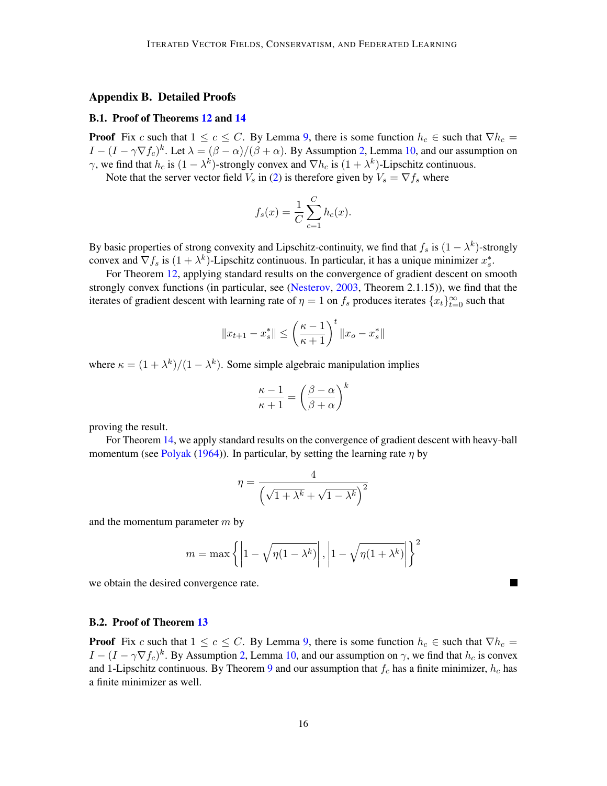#### Appendix B. Detailed Proofs

#### <span id="page-15-0"></span>B.1. Proof of Theorems [12](#page-9-5) and [14](#page-11-1)

**Proof** Fix c such that  $1 \leq c \leq C$ . By Lemma [9,](#page-8-0) there is some function  $h_c \in$  such that  $\nabla h_c =$  $I - (I - \gamma \nabla f_c)^k$ . Let  $\lambda = (\beta - \alpha)/(\beta + \alpha)$ . By Assumption [2,](#page-9-3) Lemma [10,](#page-8-1) and our assumption on  $\gamma$ , we find that  $h_c$  is  $(1 - \lambda^k)$ -strongly convex and  $\nabla h_c$  is  $(1 + \lambda^k)$ -Lipschitz continuous.

Note that the server vector field  $V_s$  in [\(2\)](#page-2-2) is therefore given by  $V_s = \nabla f_s$  where

$$
f_s(x) = \frac{1}{C} \sum_{c=1}^{C} h_c(x).
$$

By basic properties of strong convexity and Lipschitz-continuity, we find that  $f_s$  is  $(1 - \lambda^k)$ -strongly convex and  $\nabla f_s$  is  $(1 + \lambda^k)$ -Lipschitz continuous. In particular, it has a unique minimizer  $x_s^*$ .

For Theorem [12,](#page-9-5) applying standard results on the convergence of gradient descent on smooth strongly convex functions (in particular, see [\(Nesterov,](#page-12-6) [2003,](#page-12-6) Theorem 2.1.15)), we find that the iterates of gradient descent with learning rate of  $\eta = 1$  on  $f_s$  produces iterates  $\{x_t\}_{t=0}^{\infty}$  such that

$$
||x_{t+1} - x_s^*|| \le \left(\frac{\kappa - 1}{\kappa + 1}\right)^t ||x_o - x_s^*||
$$

where  $\kappa = (1 + \lambda^k)/(1 - \lambda^k)$ . Some simple algebraic manipulation implies

$$
\frac{\kappa - 1}{\kappa + 1} = \left(\frac{\beta - \alpha}{\beta + \alpha}\right)^k
$$

proving the result.

For Theorem [14,](#page-11-1) we apply standard results on the convergence of gradient descent with heavy-ball momentum (see [Polyak](#page-13-4) [\(1964\)](#page-13-4)). In particular, by setting the learning rate  $\eta$  by

$$
\eta = \frac{4}{\left(\sqrt{1 + \lambda^k} + \sqrt{1 - \lambda^k}\right)^2}
$$

and the momentum parameter  $m$  by

$$
m = \max\left\{ \left| 1 - \sqrt{\eta(1 - \lambda^k)} \right|, \left| 1 - \sqrt{\eta(1 + \lambda^k)} \right| \right\}^2
$$

we obtain the desired convergence rate.

## <span id="page-15-1"></span>B.2. Proof of Theorem [13](#page-10-0)

**Proof** Fix c such that  $1 \leq c \leq C$ . By Lemma [9,](#page-8-0) there is some function  $h_c \in$  such that  $\nabla h_c =$  $I - (I - \gamma \nabla f_c)^k$ . By Assumption [2,](#page-9-3) Lemma [10,](#page-8-1) and our assumption on  $\gamma$ , we find that  $h_c$  is convex and 1-Lipschitz continuous. By Theorem [9](#page-8-0) and our assumption that  $f_c$  has a finite minimizer,  $h_c$  has a finite minimizer as well.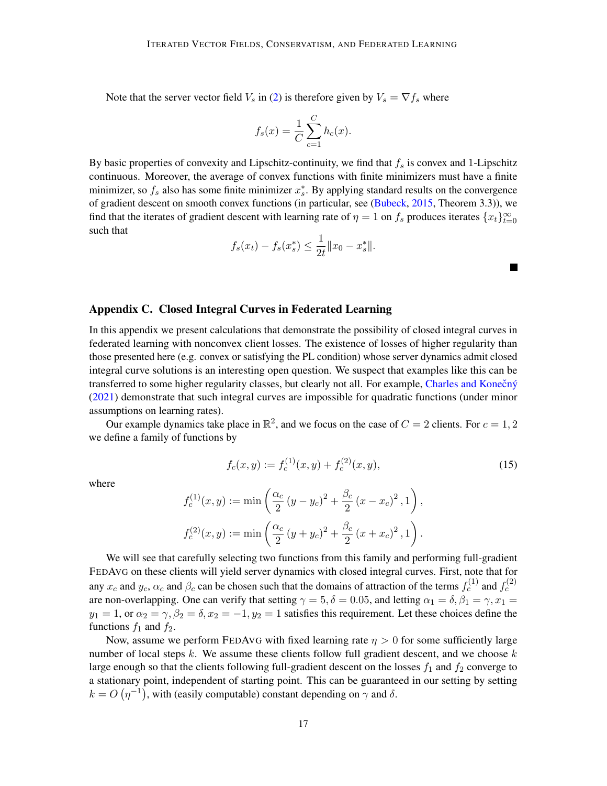Note that the server vector field  $V_s$  in [\(2\)](#page-2-2) is therefore given by  $V_s = \nabla f_s$  where

$$
f_s(x) = \frac{1}{C} \sum_{c=1}^{C} h_c(x).
$$

By basic properties of convexity and Lipschitz-continuity, we find that  $f_s$  is convex and 1-Lipschitz continuous. Moreover, the average of convex functions with finite minimizers must have a finite minimizer, so  $f_s$  also has some finite minimizer  $x_s^*$ . By applying standard results on the convergence of gradient descent on smooth convex functions (in particular, see [\(Bubeck,](#page-12-7) [2015,](#page-12-7) Theorem 3.3)), we find that the iterates of gradient descent with learning rate of  $\eta = 1$  on  $f_s$  produces iterates  $\{x_t\}_{t=0}^{\infty}$ such that

$$
f_s(x_t) - f_s(x_s^*) \leq \frac{1}{2t} ||x_0 - x_s^*||.
$$

# <span id="page-16-0"></span>Appendix C. Closed Integral Curves in Federated Learning

In this appendix we present calculations that demonstrate the possibility of closed integral curves in federated learning with nonconvex client losses. The existence of losses of higher regularity than those presented here (e.g. convex or satisfying the PL condition) whose server dynamics admit closed integral curve solutions is an interesting open question. We suspect that examples like this can be transferred to some higher regularity classes, but clearly not all. For example, Charles and Konečný [\(2021\)](#page-12-5) demonstrate that such integral curves are impossible for quadratic functions (under minor assumptions on learning rates).

Our example dynamics take place in  $\mathbb{R}^2$ , and we focus on the case of  $C = 2$  clients. For  $c = 1, 2$ we define a family of functions by

$$
f_c(x,y) := f_c^{(1)}(x,y) + f_c^{(2)}(x,y),
$$
\n(15)

 $\blacksquare$ 

where

$$
f_c^{(1)}(x,y) := \min\left(\frac{\alpha_c}{2}(y-y_c)^2 + \frac{\beta_c}{2}(x-x_c)^2, 1\right),
$$
  

$$
f_c^{(2)}(x,y) := \min\left(\frac{\alpha_c}{2}(y+y_c)^2 + \frac{\beta_c}{2}(x+x_c)^2, 1\right).
$$

We will see that carefully selecting two functions from this family and performing full-gradient FEDAVG on these clients will yield server dynamics with closed integral curves. First, note that for any  $x_c$  and  $y_c$ ,  $\alpha_c$  and  $\beta_c$  can be chosen such that the domains of attraction of the terms  $f_c^{(1)}$  and  $f_c^{(2)}$ are non-overlapping. One can verify that setting  $\gamma = 5, \delta = 0.05$ , and letting  $\alpha_1 = \delta, \beta_1 = \gamma, x_1 = \gamma$  $y_1 = 1$ , or  $\alpha_2 = \gamma$ ,  $\beta_2 = \delta$ ,  $x_2 = -1$ ,  $y_2 = 1$  satisfies this requirement. Let these choices define the functions  $f_1$  and  $f_2$ .

Now, assume we perform FEDAVG with fixed learning rate  $\eta > 0$  for some sufficiently large number of local steps  $k$ . We assume these clients follow full gradient descent, and we choose  $k$ large enough so that the clients following full-gradient descent on the losses  $f_1$  and  $f_2$  converge to a stationary point, independent of starting point. This can be guaranteed in our setting by setting  $k = O(\eta^{-1})$ , with (easily computable) constant depending on  $\gamma$  and  $\delta$ .